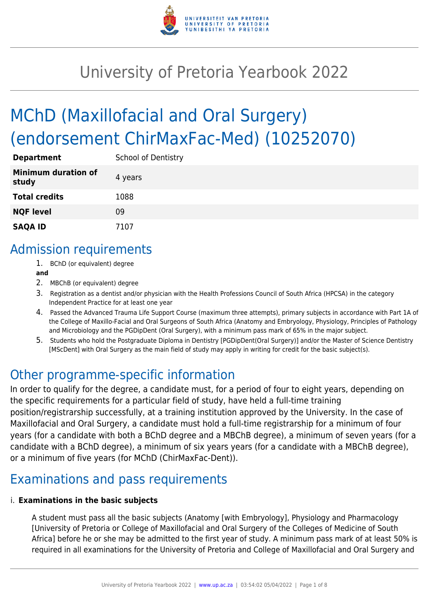

# University of Pretoria Yearbook 2022

# MChD (Maxillofacial and Oral Surgery) (endorsement ChirMaxFac-Med) (10252070)

| <b>Department</b>                   | <b>School of Dentistry</b> |
|-------------------------------------|----------------------------|
| <b>Minimum duration of</b><br>study | 4 years                    |
| <b>Total credits</b>                | 1088                       |
| <b>NQF level</b>                    | 09                         |
| <b>SAQA ID</b>                      | 7107                       |

### Admission requirements

- 1. BChD (or equivalent) degree
- **and**
- 2. MBChB (or equivalent) degree
- 3. Registration as a dentist and/or physician with the Health Professions Council of South Africa (HPCSA) in the category Independent Practice for at least one year
- 4. Passed the Advanced Trauma Life Support Course (maximum three attempts), primary subjects in accordance with Part 1A of the College of Maxillo-Facial and Oral Surgeons of South Africa (Anatomy and Embryology, Physiology, Principles of Pathology and Microbiology and the PGDipDent (Oral Surgery), with a minimum pass mark of 65% in the major subject.
- 5. Students who hold the Postgraduate Diploma in Dentistry [PGDipDent(Oral Surgery)] and/or the Master of Science Dentistry [MScDent] with Oral Surgery as the main field of study may apply in writing for credit for the basic subject(s).

### Other programme-specific information

In order to qualify for the degree, a candidate must, for a period of four to eight years, depending on the specific requirements for a particular field of study, have held a full-time training position/registrarship successfully, at a training institution approved by the University. In the case of Maxillofacial and Oral Surgery, a candidate must hold a full-time registrarship for a minimum of four years (for a candidate with both a BChD degree and a MBChB degree), a minimum of seven years (for a candidate with a BChD degree), a minimum of six years years (for a candidate with a MBChB degree), or a minimum of five years (for MChD (ChirMaxFac-Dent)).

# Examinations and pass requirements

#### i. **Examinations in the basic subjects**

A student must pass all the basic subjects (Anatomy [with Embryology], Physiology and Pharmacology [University of Pretoria or College of Maxillofacial and Oral Surgery of the Colleges of Medicine of South Africa] before he or she may be admitted to the first year of study. A minimum pass mark of at least 50% is required in all examinations for the University of Pretoria and College of Maxillofacial and Oral Surgery and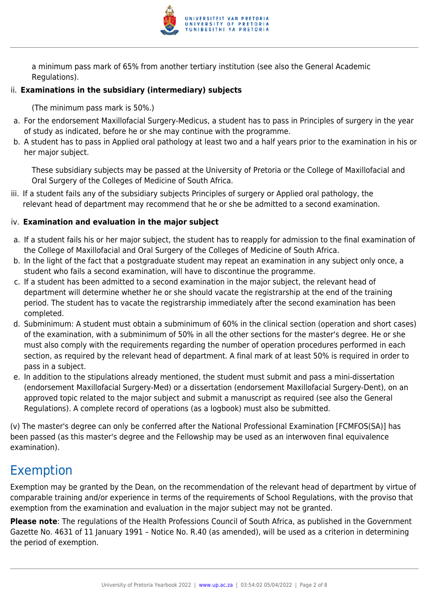

a minimum pass mark of 65% from another tertiary institution (see also the General Academic Regulations).

#### ii. **Examinations in the subsidiary (intermediary) subjects**

(The minimum pass mark is 50%.)

- a. For the endorsement Maxillofacial Surgery-Medicus, a student has to pass in Principles of surgery in the year of study as indicated, before he or she may continue with the programme.
- b. A student has to pass in Applied oral pathology at least two and a half years prior to the examination in his or her major subject.

These subsidiary subjects may be passed at the University of Pretoria or the College of Maxillofacial and Oral Surgery of the Colleges of Medicine of South Africa.

iii. If a student fails any of the subsidiary subjects Principles of surgery or Applied oral pathology, the relevant head of department may recommend that he or she be admitted to a second examination.

#### iv. **Examination and evaluation in the major subject**

- a. If a student fails his or her major subject, the student has to reapply for admission to the final examination of the College of Maxillofacial and Oral Surgery of the Colleges of Medicine of South Africa.
- b. In the light of the fact that a postgraduate student may repeat an examination in any subject only once, a student who fails a second examination, will have to discontinue the programme.
- c. If a student has been admitted to a second examination in the major subject, the relevant head of department will determine whether he or she should vacate the registrarship at the end of the training period. The student has to vacate the registrarship immediately after the second examination has been completed.
- d. Subminimum: A student must obtain a subminimum of 60% in the clinical section (operation and short cases) of the examination, with a subminimum of 50% in all the other sections for the master's degree. He or she must also comply with the requirements regarding the number of operation procedures performed in each section, as required by the relevant head of department. A final mark of at least 50% is required in order to pass in a subject.
- e. In addition to the stipulations already mentioned, the student must submit and pass a mini-dissertation (endorsement Maxillofacial Surgery-Med) or a dissertation (endorsement Maxillofacial Surgery-Dent), on an approved topic related to the major subject and submit a manuscript as required (see also the General Regulations). A complete record of operations (as a logbook) must also be submitted.

(v) The master's degree can only be conferred after the National Professional Examination [FCMFOS(SA)] has been passed (as this master's degree and the Fellowship may be used as an interwoven final equivalence examination).

### Exemption

Exemption may be granted by the Dean, on the recommendation of the relevant head of department by virtue of comparable training and/or experience in terms of the requirements of School Regulations, with the proviso that exemption from the examination and evaluation in the major subject may not be granted.

**Please note**: The regulations of the Health Professions Council of South Africa, as published in the Government Gazette No. 4631 of 11 January 1991 – Notice No. R.40 (as amended), will be used as a criterion in determining the period of exemption.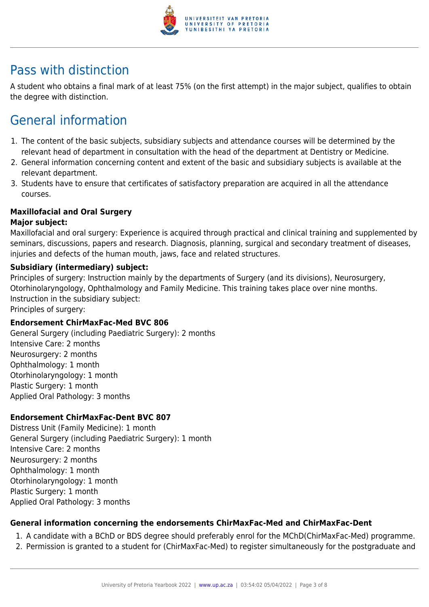

## Pass with distinction

A student who obtains a final mark of at least 75% (on the first attempt) in the major subject, qualifies to obtain the degree with distinction.

# General information

- 1. The content of the basic subjects, subsidiary subjects and attendance courses will be determined by the relevant head of department in consultation with the head of the department at Dentistry or Medicine.
- 2. General information concerning content and extent of the basic and subsidiary subjects is available at the relevant department.
- 3. Students have to ensure that certificates of satisfactory preparation are acquired in all the attendance courses.

#### **Maxillofacial and Oral Surgery**

#### **Major subject:**

Maxillofacial and oral surgery: Experience is acquired through practical and clinical training and supplemented by seminars, discussions, papers and research. Diagnosis, planning, surgical and secondary treatment of diseases, injuries and defects of the human mouth, jaws, face and related structures.

#### **Subsidiary (intermediary) subject:**

Principles of surgery: Instruction mainly by the departments of Surgery (and its divisions), Neurosurgery, Otorhinolaryngology, Ophthalmology and Family Medicine. This training takes place over nine months. Instruction in the subsidiary subject:

Principles of surgery:

#### **Endorsement ChirMaxFac-Med BVC 806**

General Surgery (including Paediatric Surgery): 2 months Intensive Care: 2 months Neurosurgery: 2 months Ophthalmology: 1 month Otorhinolaryngology: 1 month Plastic Surgery: 1 month Applied Oral Pathology: 3 months

#### **Endorsement ChirMaxFac-Dent BVC 807**

Distress Unit (Family Medicine): 1 month General Surgery (including Paediatric Surgery): 1 month Intensive Care: 2 months Neurosurgery: 2 months Ophthalmology: 1 month Otorhinolaryngology: 1 month Plastic Surgery: 1 month Applied Oral Pathology: 3 months

#### **General information concerning the endorsements ChirMaxFac-Med and ChirMaxFac-Dent**

- 1. A candidate with a BChD or BDS degree should preferably enrol for the MChD(ChirMaxFac-Med) programme.
- 2. Permission is granted to a student for (ChirMaxFac-Med) to register simultaneously for the postgraduate and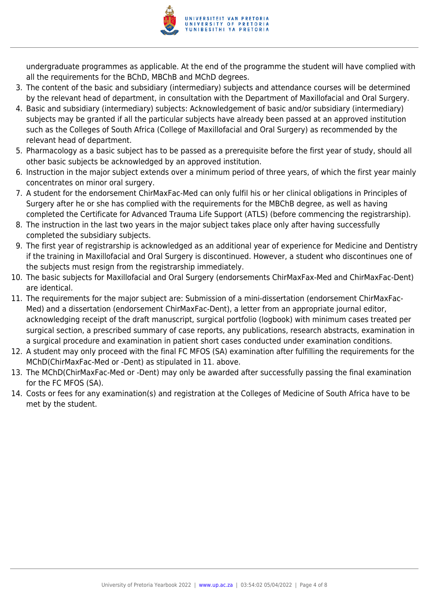

undergraduate programmes as applicable. At the end of the programme the student will have complied with all the requirements for the BChD, MBChB and MChD degrees.

- 3. The content of the basic and subsidiary (intermediary) subjects and attendance courses will be determined by the relevant head of department, in consultation with the Department of Maxillofacial and Oral Surgery.
- 4. Basic and subsidiary (intermediary) subjects: Acknowledgement of basic and/or subsidiary (intermediary) subjects may be granted if all the particular subjects have already been passed at an approved institution such as the Colleges of South Africa (College of Maxillofacial and Oral Surgery) as recommended by the relevant head of department.
- 5. Pharmacology as a basic subject has to be passed as a prerequisite before the first year of study, should all other basic subjects be acknowledged by an approved institution.
- 6. Instruction in the major subject extends over a minimum period of three years, of which the first year mainly concentrates on minor oral surgery.
- 7. A student for the endorsement ChirMaxFac-Med can only fulfil his or her clinical obligations in Principles of Surgery after he or she has complied with the requirements for the MBChB degree, as well as having completed the Certificate for Advanced Trauma Life Support (ATLS) (before commencing the registrarship).
- 8. The instruction in the last two years in the major subject takes place only after having successfully completed the subsidiary subjects.
- 9. The first year of registrarship is acknowledged as an additional year of experience for Medicine and Dentistry if the training in Maxillofacial and Oral Surgery is discontinued. However, a student who discontinues one of the subjects must resign from the registrarship immediately.
- 10. The basic subjects for Maxillofacial and Oral Surgery (endorsements ChirMaxFax-Med and ChirMaxFac-Dent) are identical.
- 11. The requirements for the major subject are: Submission of a mini-dissertation (endorsement ChirMaxFac-Med) and a dissertation (endorsement ChirMaxFac-Dent), a letter from an appropriate journal editor, acknowledging receipt of the draft manuscript, surgical portfolio (logbook) with minimum cases treated per surgical section, a prescribed summary of case reports, any publications, research abstracts, examination in a surgical procedure and examination in patient short cases conducted under examination conditions.
- 12. A student may only proceed with the final FC MFOS (SA) examination after fulfilling the requirements for the MChD(ChirMaxFac-Med or -Dent) as stipulated in 11. above.
- 13. The MChD(ChirMaxFac-Med or -Dent) may only be awarded after successfully passing the final examination for the FC MFOS (SA).
- 14. Costs or fees for any examination(s) and registration at the Colleges of Medicine of South Africa have to be met by the student.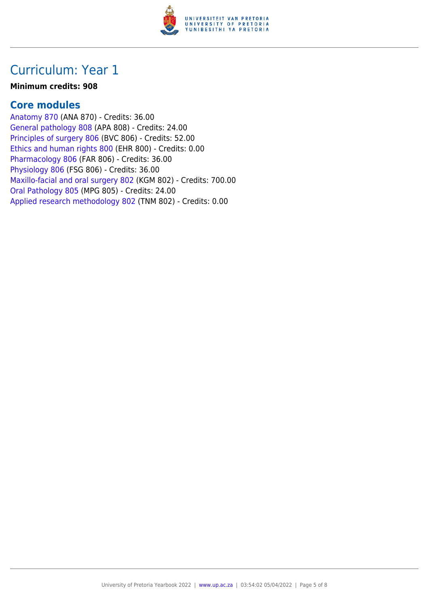

### Curriculum: Year 1

#### **Minimum credits: 908**

### **Core modules**

[Anatomy 870](https://www.up.ac.za/faculty-of-education/yearbooks/2022/modules/view/ANA 870) (ANA 870) - Credits: 36.00 [General pathology 808](https://www.up.ac.za/faculty-of-education/yearbooks/2022/modules/view/APA 808) (APA 808) - Credits: 24.00 [Principles of surgery 806](https://www.up.ac.za/faculty-of-education/yearbooks/2022/modules/view/BVC 806) (BVC 806) - Credits: 52.00 [Ethics and human rights 800](https://www.up.ac.za/faculty-of-education/yearbooks/2022/modules/view/EHR 800) (EHR 800) - Credits: 0.00 [Pharmacology 806](https://www.up.ac.za/faculty-of-education/yearbooks/2022/modules/view/FAR 806) (FAR 806) - Credits: 36.00 [Physiology 806](https://www.up.ac.za/faculty-of-education/yearbooks/2022/modules/view/FSG 806) (FSG 806) - Credits: 36.00 [Maxillo-facial and oral surgery 802](https://www.up.ac.za/faculty-of-education/yearbooks/2022/modules/view/KGM 802) (KGM 802) - Credits: 700.00 [Oral Pathology 805](https://www.up.ac.za/faculty-of-education/yearbooks/2022/modules/view/MPG 805) (MPG 805) - Credits: 24.00 [Applied research methodology 802](https://www.up.ac.za/faculty-of-education/yearbooks/2022/modules/view/TNM 802) (TNM 802) - Credits: 0.00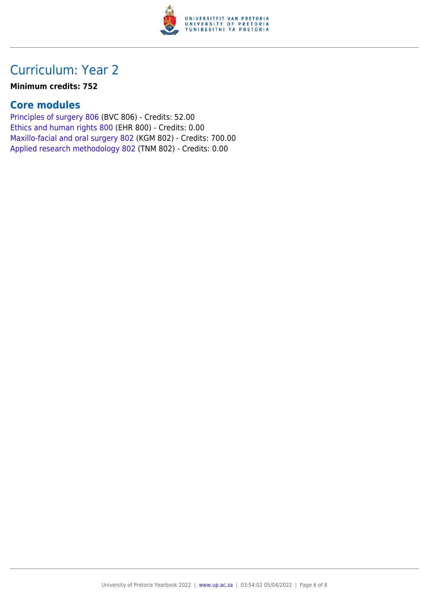

## Curriculum: Year 2

#### **Minimum credits: 752**

### **Core modules**

[Principles of surgery 806](https://www.up.ac.za/faculty-of-education/yearbooks/2022/modules/view/BVC 806) (BVC 806) - Credits: 52.00 [Ethics and human rights 800](https://www.up.ac.za/faculty-of-education/yearbooks/2022/modules/view/EHR 800) (EHR 800) - Credits: 0.00 [Maxillo-facial and oral surgery 802](https://www.up.ac.za/faculty-of-education/yearbooks/2022/modules/view/KGM 802) (KGM 802) - Credits: 700.00 [Applied research methodology 802](https://www.up.ac.za/faculty-of-education/yearbooks/2022/modules/view/TNM 802) (TNM 802) - Credits: 0.00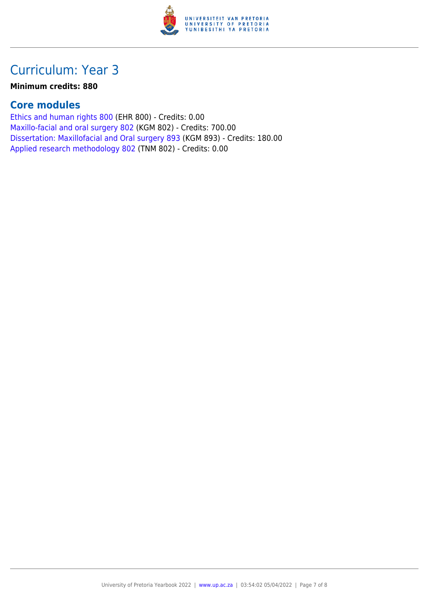

## Curriculum: Year 3

#### **Minimum credits: 880**

### **Core modules**

[Ethics and human rights 800](https://www.up.ac.za/faculty-of-education/yearbooks/2022/modules/view/EHR 800) (EHR 800) - Credits: 0.00 [Maxillo-facial and oral surgery 802](https://www.up.ac.za/faculty-of-education/yearbooks/2022/modules/view/KGM 802) (KGM 802) - Credits: 700.00 [Dissertation: Maxillofacial and Oral surgery 893](https://www.up.ac.za/faculty-of-education/yearbooks/2022/modules/view/KGM 893) (KGM 893) - Credits: 180.00 [Applied research methodology 802](https://www.up.ac.za/faculty-of-education/yearbooks/2022/modules/view/TNM 802) (TNM 802) - Credits: 0.00